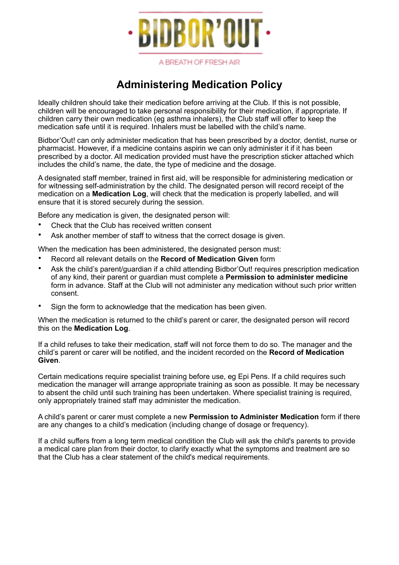

A BREATH OF FRESH AIR

## **Administering Medication Policy**

Ideally children should take their medication before arriving at the Club. If this is not possible, children will be encouraged to take personal responsibility for their medication, if appropriate. If children carry their own medication (eg asthma inhalers), the Club staff will offer to keep the medication safe until it is required. Inhalers must be labelled with the child's name.

Bidbor'Out! can only administer medication that has been prescribed by a doctor, dentist, nurse or pharmacist. However, if a medicine contains aspirin we can only administer it if it has been prescribed by a doctor. All medication provided must have the prescription sticker attached which includes the child's name, the date, the type of medicine and the dosage.

A designated staff member, trained in first aid, will be responsible for administering medication or for witnessing self-administration by the child. The designated person will record receipt of the medication on a **Medication Log**, will check that the medication is properly labelled, and will ensure that it is stored securely during the session.

Before any medication is given, the designated person will:

- Check that the Club has received written consent
- Ask another member of staff to witness that the correct dosage is given.

When the medication has been administered, the designated person must:

- Record all relevant details on the **Record of Medication Given** form
- Ask the child's parent/guardian if a child attending Bidbor'Out! requires prescription medication of any kind, their parent or guardian must complete a **Permission to administer medicine** form in advance. Staff at the Club will not administer any medication without such prior written consent.
- Sign the form to acknowledge that the medication has been given.

When the medication is returned to the child's parent or carer, the designated person will record this on the **Medication Log**.

If a child refuses to take their medication, staff will not force them to do so. The manager and the child's parent or carer will be notified, and the incident recorded on the **Record of Medication Given**.

Certain medications require specialist training before use, eg Epi Pens. If a child requires such medication the manager will arrange appropriate training as soon as possible. It may be necessary to absent the child until such training has been undertaken. Where specialist training is required, only appropriately trained staff may administer the medication.

A child's parent or carer must complete a new **Permission to Administer Medication** form if there are any changes to a child's medication (including change of dosage or frequency).

If a child suffers from a long term medical condition the Club will ask the child's parents to provide a medical care plan from their doctor, to clarify exactly what the symptoms and treatment are so that the Club has a clear statement of the child's medical requirements.